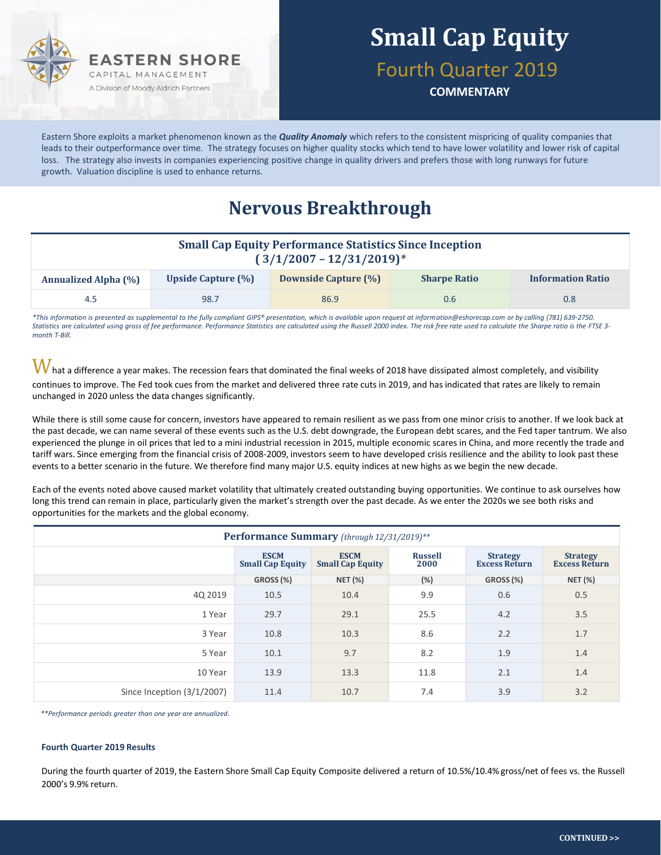

# **Small Cap Equity**

Fourth Quarter 2019

**COMMENTARY**

Eastern Shore exploits a market phenomenon known as the *Quality Anomaly* which refers to the consistent mispricing of quality companies that leads to their outperformance over time. The strategy focuses on higher quality stocks which tend to have lower volatility and lower risk of capital loss. The strategy also invests in companies experiencing positive change in quality drivers and prefers those with long runways for future growth. Valuation discipline is used to enhance returns.

### **Nervous Breakthrough**

| <b>Small Cap Equity Performance Statistics Since Inception</b><br>$(3/1/2007 - 12/31/2019)^*$ |                           |                      |                     |                          |  |  |  |  |
|-----------------------------------------------------------------------------------------------|---------------------------|----------------------|---------------------|--------------------------|--|--|--|--|
| <b>Annualized Alpha (%)</b>                                                                   | <b>Upside Capture (%)</b> | Downside Capture (%) | <b>Sharpe Ratio</b> | <b>Information Ratio</b> |  |  |  |  |
| 4.5                                                                                           | 98.7                      | 86.9                 | 0.6                 | 0.8 <sub>0</sub>         |  |  |  |  |

*\*This information is presented as supplemental to the fully compliant GIPS® presentation, which is available upon request at information@eshorecap.com or by calling (781) 639-2750. Statistics are calculated using gross of fee performance. Performance Statistics are calculated using the Russell 2000 index. The risk free rate used to calculate the Sharpe ratio is the FTSE 3 month T-Bill.*

 $\bm{W}$ hat a difference a year makes. The recession fears that dominated the final weeks of 2018 have dissipated almost completely, and visibility continues to improve. The Fed took cues from the market and delivered three rate cuts in 2019, and has indicated that rates are likely to remain unchanged in 2020 unless the data changes significantly.

While there is still some cause for concern, investors have appeared to remain resilient as we pass from one minor crisis to another. If we look back at the past decade, we can name several of these events such as the U.S. debt downgrade, the European debt scares, and the Fed taper tantrum. We also experienced the plunge in oil prices that led to a mini industrial recession in 2015, multiple economic scares in China, and more recently the trade and tariff wars. Since emerging from the financial crisis of 2008-2009, investors seem to have developed crisis resilience and the ability to look past these events to a better scenario in the future. We therefore find many major U.S. equity indices at new highs as we begin the new decade.

Each of the events noted above caused market volatility that ultimately created outstanding buying opportunities. We continue to ask ourselves how long this trend can remain in place, particularly given the market's strength over the past decade. As we enter the 2020s we see both risks and opportunities for the markets and the global economy.

| Performance Summary (through 12/31/2019)** |                                        |                                        |                        |                                         |                                         |  |  |  |  |  |
|--------------------------------------------|----------------------------------------|----------------------------------------|------------------------|-----------------------------------------|-----------------------------------------|--|--|--|--|--|
|                                            | <b>ESCM</b><br><b>Small Cap Equity</b> | <b>ESCM</b><br><b>Small Cap Equity</b> | <b>Russell</b><br>2000 | <b>Strategy</b><br><b>Excess Return</b> | <b>Strategy</b><br><b>Excess Return</b> |  |  |  |  |  |
|                                            | GROSS (%)                              | <b>NET (%)</b>                         | $(\%)$                 | GROSS (%)                               | <b>NET (%)</b>                          |  |  |  |  |  |
| 4Q 2019                                    | 10.5                                   | 10.4                                   | 9.9                    | 0.6                                     | 0.5                                     |  |  |  |  |  |
| 1 Year                                     | 29.7                                   | 29.1                                   | 25.5                   | 4.2                                     | 3.5                                     |  |  |  |  |  |
| 3 Year                                     | 10.8                                   | 10.3                                   | 8.6                    | 2.2                                     | 1.7                                     |  |  |  |  |  |
| 5 Year                                     | 10.1                                   | 9.7                                    | 8.2                    | 1.9                                     | 1.4                                     |  |  |  |  |  |
| 10 Year                                    | 13.9                                   | 13.3                                   | 11.8                   | 2.1                                     | 1.4                                     |  |  |  |  |  |
| Since Inception (3/1/2007)                 | 11.4                                   | 10.7                                   | 7.4                    | 3.9                                     | 3.2                                     |  |  |  |  |  |

*\*\*Performance periods greater than one year are annualized.*

#### **Fourth Quarter 2019 Results**

During the fourth quarter of 2019, the Eastern Shore Small Cap Equity Composite delivered a return of 10.5%/10.4% gross/net of fees vs. the Russell 2000's 9.9% return.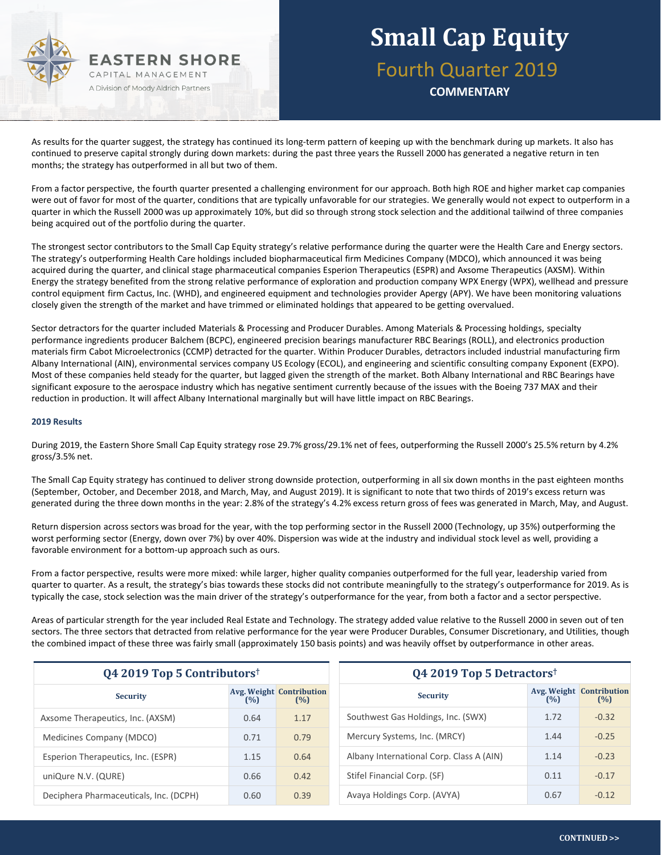

# **Small Cap Equity** Fourth Quarter 2019

**COMMENTARY**

As results for the quarter suggest, the strategy has continued its long-term pattern of keeping up with the benchmark during up markets. It also has continued to preserve capital strongly during down markets: during the past three years the Russell 2000 has generated a negative return in ten months; the strategy has outperformed in all but two of them.

From a factor perspective, the fourth quarter presented a challenging environment for our approach. Both high ROE and higher market cap companies were out of favor for most of the quarter, conditions that are typically unfavorable for our strategies. We generally would not expect to outperform in a quarter in which the Russell 2000 was up approximately 10%, but did so through strong stock selection and the additional tailwind of three companies being acquired out of the portfolio during the quarter.

The strongest sector contributors to the Small Cap Equity strategy's relative performance during the quarter were the Health Care and Energy sectors. The strategy's outperforming Health Care holdings included biopharmaceutical firm Medicines Company (MDCO), which announced it was being acquired during the quarter, and clinical stage pharmaceutical companies Esperion Therapeutics (ESPR) and Axsome Therapeutics (AXSM). Within Energy the strategy benefited from the strong relative performance of exploration and production company WPX Energy (WPX), wellhead and pressure control equipment firm Cactus, Inc. (WHD), and engineered equipment and technologies provider Apergy (APY). We have been monitoring valuations closely given the strength of the market and have trimmed or eliminated holdings that appeared to be getting overvalued.

Sector detractors for the quarter included Materials & Processing and Producer Durables. Among Materials & Processing holdings, specialty performance ingredients producer Balchem (BCPC), engineered precision bearings manufacturer RBC Bearings (ROLL), and electronics production materials firm Cabot Microelectronics (CCMP) detracted for the quarter. Within Producer Durables, detractors included industrial manufacturing firm Albany International (AIN), environmental services company US Ecology (ECOL), and engineering and scientific consulting company Exponent (EXPO). Most of these companies held steady for the quarter, but lagged given the strength of the market. Both Albany International and RBC Bearings have significant exposure to the aerospace industry which has negative sentiment currently because of the issues with the Boeing 737 MAX and their reduction in production. It will affect Albany International marginally but will have little impact on RBC Bearings.

#### **2019 Results**

During 2019, the Eastern Shore Small Cap Equity strategy rose 29.7% gross/29.1% net of fees, outperforming the Russell 2000's 25.5% return by 4.2% gross/3.5% net.

The Small Cap Equity strategy has continued to deliver strong downside protection, outperforming in all six down months in the past eighteen months (September, October, and December 2018, and March, May, and August 2019). It is significant to note that two thirds of 2019's excess return was generated during the three down months in the year: 2.8% of the strategy's 4.2% excess return gross of fees was generated in March, May, and August.

Return dispersion across sectors was broad for the year, with the top performing sector in the Russell 2000 (Technology, up 35%) outperforming the worst performing sector (Energy, down over 7%) by over 40%. Dispersion was wide at the industry and individual stock level as well, providing a favorable environment for a bottom-up approach such as ours.

From a factor perspective, results were more mixed: while larger, higher quality companies outperformed for the full year, leadership varied from quarter to quarter. As a result, the strategy's bias towards these stocks did not contribute meaningfully to the strategy's outperformance for 2019. As is typically the case, stock selection was the main driver of the strategy's outperformance for the year, from both a factor and a sector perspective.

Areas of particular strength for the year included Real Estate and Technology. The strategy added value relative to the Russell 2000 in seven out of ten sectors. The three sectors that detracted from relative performance for the year were Producer Durables, Consumer Discretionary, and Utilities, though the combined impact of these three was fairly small (approximately 150 basis points) and was heavily offset by outperformance in other areas.

| $Q4$ 2019 Top 5 Contributors <sup>†</sup> |      |                                        | Q4 2019 Top 5 Detractors <sup>†</sup>    |                                               |  |  |
|-------------------------------------------|------|----------------------------------------|------------------------------------------|-----------------------------------------------|--|--|
| <b>Security</b>                           | (%)  | <b>Avg. Weight Contribution</b><br>(%) | <b>Security</b>                          | <b>Avg. Weight Contribution</b><br>(%)<br>(%) |  |  |
| Axsome Therapeutics, Inc. (AXSM)          | 0.64 | 1.17                                   | Southwest Gas Holdings, Inc. (SWX)       | $-0.32$<br>1.72                               |  |  |
| Medicines Company (MDCO)                  | 0.71 | 0.79                                   | Mercury Systems, Inc. (MRCY)             | $-0.25$<br>1.44                               |  |  |
| Esperion Therapeutics, Inc. (ESPR)        | 1.15 | 0.64                                   | Albany International Corp. Class A (AIN) | $-0.23$<br>1.14                               |  |  |
| uniQure N.V. (QURE)                       | 0.66 | 0.42                                   | Stifel Financial Corp. (SF)              | $-0.17$<br>0.11                               |  |  |
| Deciphera Pharmaceuticals, Inc. (DCPH)    | 0.60 | 0.39                                   | Avaya Holdings Corp. (AVYA)              | $-0.12$<br>0.67                               |  |  |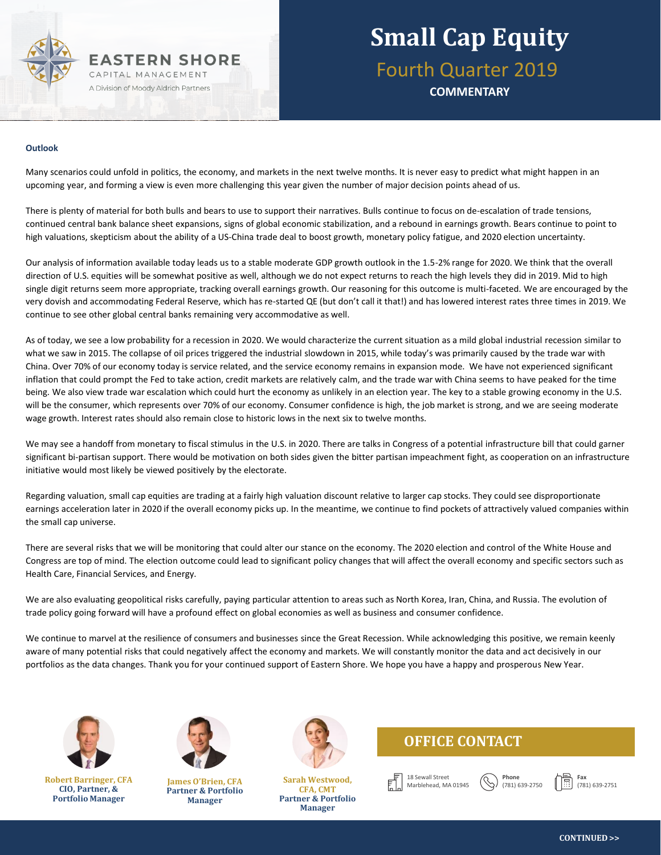

# **Small Cap Equity** Fourth Quarter 2019

**COMMENTARY**

#### **Outlook**

Many scenarios could unfold in politics, the economy, and markets in the next twelve months. It is never easy to predict what might happen in an upcoming year, and forming a view is even more challenging this year given the number of major decision points ahead of us.

There is plenty of material for both bulls and bears to use to support their narratives. Bulls continue to focus on de-escalation of trade tensions, continued central bank balance sheet expansions, signs of global economic stabilization, and a rebound in earnings growth. Bears continue to point to high valuations, skepticism about the ability of a US-China trade deal to boost growth, monetary policy fatigue, and 2020 election uncertainty.

Our analysis of information available today leads us to a stable moderate GDP growth outlook in the 1.5-2% range for 2020. We think that the overall direction of U.S. equities will be somewhat positive as well, although we do not expect returns to reach the high levels they did in 2019. Mid to high single digit returns seem more appropriate, tracking overall earnings growth. Our reasoning for this outcome is multi-faceted. We are encouraged by the very dovish and accommodating Federal Reserve, which has re-started QE (but don't call it that!) and has lowered interest rates three times in 2019. We continue to see other global central banks remaining very accommodative as well.

As of today, we see a low probability for a recession in 2020. We would characterize the current situation as a mild global industrial recession similar to what we saw in 2015. The collapse of oil prices triggered the industrial slowdown in 2015, while today's was primarily caused by the trade war with China. Over 70% of our economy today is service related, and the service economy remains in expansion mode. We have not experienced significant inflation that could prompt the Fed to take action, credit markets are relatively calm, and the trade war with China seems to have peaked for the time being. We also view trade war escalation which could hurt the economy as unlikely in an election year. The key to a stable growing economy in the U.S. will be the consumer, which represents over 70% of our economy. Consumer confidence is high, the job market is strong, and we are seeing moderate wage growth. Interest rates should also remain close to historic lows in the next six to twelve months.

We may see a handoff from monetary to fiscal stimulus in the U.S. in 2020. There are talks in Congress of a potential infrastructure bill that could garner significant bi-partisan support. There would be motivation on both sides given the bitter partisan impeachment fight, as cooperation on an infrastructure initiative would most likely be viewed positively by the electorate.

Regarding valuation, small cap equities are trading at a fairly high valuation discount relative to larger cap stocks. They could see disproportionate earnings acceleration later in 2020 if the overall economy picks up. In the meantime, we continue to find pockets of attractively valued companies within the small cap universe.

There are several risks that we will be monitoring that could alter our stance on the economy. The 2020 election and control of the White House and Congress are top of mind. The election outcome could lead to significant policy changes that will affect the overall economy and specific sectors such as Health Care, Financial Services, and Energy.

We are also evaluating geopolitical risks carefully, paying particular attention to areas such as North Korea, Iran, China, and Russia. The evolution of trade policy going forward will have a profound effect on global economies as well as business and consumer confidence.

We continue to marvel at the resilience of consumers and businesses since the Great Recession. While acknowledging this positive, we remain keenly aware of many potential risks that could negatively affect the economy and markets. We will constantly monitor the data and act decisively in our portfolios as the data changes. Thank you for your continued support of Eastern Shore. We hope you have a happy and prosperous New Year.



**Robert Barringer, CFA CIO, Partner, & Portfolio Manager**



**James O'Brien, CFA Partner & Portfolio Manager**



**Sarah Westwood, CFA, CMT Partner & Portfolio Manager**